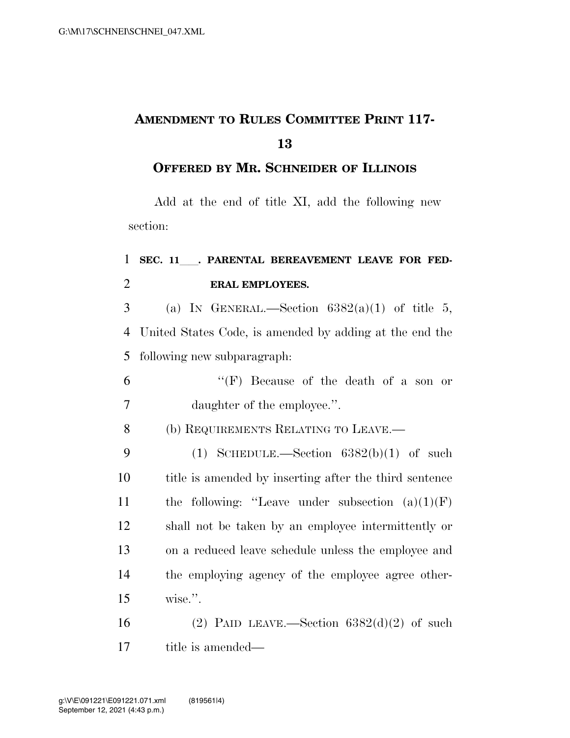## **AMENDMENT TO RULES COMMITTEE PRINT 117- 13**

## **OFFERED BY MR. SCHNEIDER OF ILLINOIS**

Add at the end of title XI, add the following new section:

## 1 SEC. 11 . PARENTAL BEREAVEMENT LEAVE FOR FED-2 **ERAL EMPLOYEES.**

3 (a) IN GENERAL.—Section  $6382(a)(1)$  of title 5, 4 United States Code, is amended by adding at the end the 5 following new subparagraph:

- 6 ''(F) Because of the death of a son or 7 daughter of the employee.''.
- 8 (b) REQUIREMENTS RELATING TO LEAVE.—

9 (1) SCHEDULE.—Section  $6382(b)(1)$  of such title is amended by inserting after the third sentence 11 the following: "Leave under subsection  $(a)(1)(F)$  shall not be taken by an employee intermittently or on a reduced leave schedule unless the employee and the employing agency of the employee agree other-wise.''.

16 (2) PAID LEAVE.—Section  $6382(d)(2)$  of such 17 title is amended